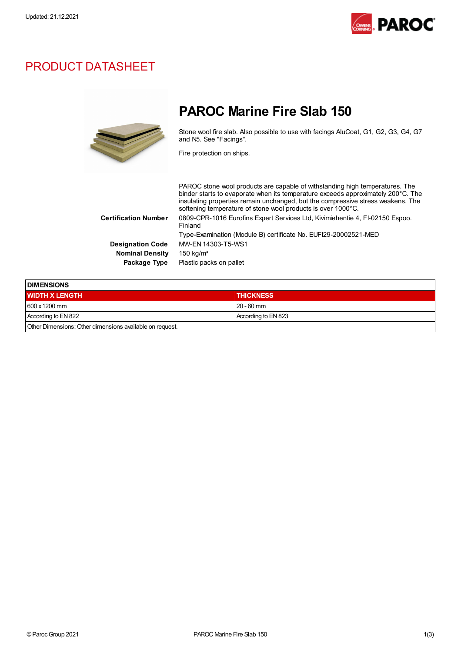

## PRODUCT DATASHEET



# PAROC Marine Fire Slab 150

Stone wool fire slab. Also possible to use with facings AluCoat, G1, G2, G3, G4, G7 and N5. See "Facings".

Fire protection on ships.

PAROC stone wool products are capable of withstanding high temperatures. The binder starts to evaporate when its temperature exceeds approximately 200°C. The insulating properties remain unchanged, but the compressive stress weakens. The softening temperature of stone wool products is over 1000°C. Certification Number 0809-CPR-1016 Eurofins Expert Services Ltd, Kivimiehentie 4, FI-02150 Espoo. Finland Type-Examination (Module B) certificate No. EUFI29-20002521-MED Designation Code MW-EN 14303-T5-WS1 Nominal Density 150 kg/m<sup>3</sup> Package Type Plastic packs on pallet

| <b>IDIMENSIONS</b>                                       |                     |  |
|----------------------------------------------------------|---------------------|--|
| <b>WIDTH X LENGTH</b>                                    | <b>THICKNESS</b>    |  |
| 600 x 1200 mm                                            | l 20 - 60 mm        |  |
| According to EN 822                                      | According to EN 823 |  |
| Other Dimensions: Other dimensions available on request. |                     |  |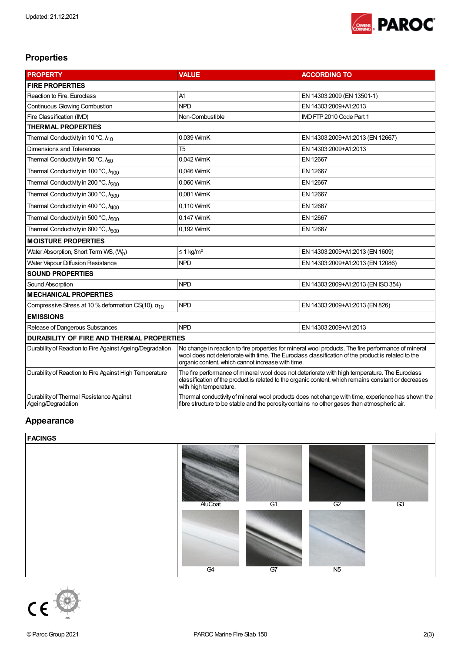

### Properties

| <b>PROPERTY</b>                                                | <b>VALUE</b>                                                                                                                                                                                                                                                   | <b>ACCORDING TO</b>                |  |
|----------------------------------------------------------------|----------------------------------------------------------------------------------------------------------------------------------------------------------------------------------------------------------------------------------------------------------------|------------------------------------|--|
| <b>FIRE PROPERTIES</b>                                         |                                                                                                                                                                                                                                                                |                                    |  |
| Reaction to Fire, Euroclass                                    | A1                                                                                                                                                                                                                                                             | EN 14303:2009 (EN 13501-1)         |  |
| Continuous Glowing Combustion                                  | <b>NPD</b>                                                                                                                                                                                                                                                     | EN 14303:2009+A1:2013              |  |
| Fire Classification (IMO)                                      | Non-Combustible                                                                                                                                                                                                                                                | IMO FTP 2010 Code Part 1           |  |
| <b>THERMAL PROPERTIES</b>                                      |                                                                                                                                                                                                                                                                |                                    |  |
| Thermal Conductivity in 10 °C, $\lambda_{10}$                  | 0.039 W/mK                                                                                                                                                                                                                                                     | EN 14303:2009+A1:2013 (EN 12667)   |  |
| Dimensions and Tolerances                                      | T <sub>5</sub>                                                                                                                                                                                                                                                 | EN 14303:2009+A1:2013              |  |
| Thermal Conductivity in 50 °C, N <sub>50</sub>                 | 0,042 W/mK                                                                                                                                                                                                                                                     | EN 12667                           |  |
| Thermal Conductivity in 100 °C, N <sub>100</sub>               | 0,046 W/mK                                                                                                                                                                                                                                                     | EN 12667                           |  |
| Thermal Conductivity in 200 °C, N <sub>200</sub>               | 0,060 W/mK                                                                                                                                                                                                                                                     | EN 12667                           |  |
| Thermal Conductivity in 300 °C, A300                           | 0,081 W/mK                                                                                                                                                                                                                                                     | EN 12667                           |  |
| Thermal Conductivity in 400 °C, N <sub>400</sub>               | 0,110 W/mK                                                                                                                                                                                                                                                     | EN 12667                           |  |
| Thermal Conductivity in 500 °C, N <sub>500</sub>               | 0,147 W/mK                                                                                                                                                                                                                                                     | EN 12667                           |  |
| Thermal Conductivity in 600 °C, Non                            | 0.192 W/mK                                                                                                                                                                                                                                                     | EN 12667                           |  |
| <b>MOISTURE PROPERTIES</b>                                     |                                                                                                                                                                                                                                                                |                                    |  |
| Water Absorption, Short Term WS, (W <sub>n</sub> )             | $\leq$ 1 kg/m <sup>2</sup>                                                                                                                                                                                                                                     | EN 14303:2009+A1:2013 (EN 1609)    |  |
| Water Vapour Diffusion Resistance                              | <b>NPD</b>                                                                                                                                                                                                                                                     | EN 14303:2009+A1:2013 (EN 12086)   |  |
| <b>SOUND PROPERTIES</b>                                        |                                                                                                                                                                                                                                                                |                                    |  |
| Sound Absorption                                               | <b>NPD</b>                                                                                                                                                                                                                                                     | EN 14303:2009+A1:2013 (EN ISO 354) |  |
| <b>MECHANICAL PROPERTIES</b>                                   |                                                                                                                                                                                                                                                                |                                    |  |
| Compressive Stress at 10 % deformation CS(10), $\sigma_{10}$   | <b>NPD</b>                                                                                                                                                                                                                                                     | EN 14303:2009+A1:2013 (EN 826)     |  |
| <b>EMISSIONS</b>                                               |                                                                                                                                                                                                                                                                |                                    |  |
| Release of Dangerous Substances                                | <b>NPD</b>                                                                                                                                                                                                                                                     | EN 14303:2009+A1:2013              |  |
| <b>DURABILITY OF FIRE AND THERMAL PROPERTIES</b>               |                                                                                                                                                                                                                                                                |                                    |  |
| Durability of Reaction to Fire Against Ageing/Degradation      | No change in reaction to fire properties for mineral wool products. The fire performance of mineral<br>wool does not deteriorate with time. The Euroclass classification of the product is related to the<br>organic content, which cannot increase with time. |                                    |  |
| Durability of Reaction to Fire Against High Temperature        | The fire performance of mineral wool does not deteriorate with high temperature. The Eurodass<br>classification of the product is related to the organic content, which remains constant or decreases<br>with high temperature.                                |                                    |  |
| Durability of Thermal Resistance Against<br>Ageing/Degradation | Thermal conductivity of mineral wool products does not change with time, experience has shown the<br>fibre structure to be stable and the porosity contains no other gases than atmospheric air.                                                               |                                    |  |

#### Appearance

#### **FACINGS**